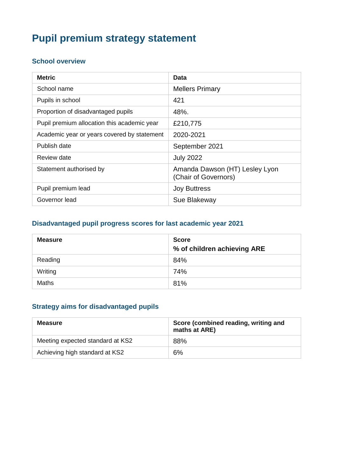# **Pupil premium strategy statement**

#### **School overview**

| <b>Metric</b>                               | Data                                                   |
|---------------------------------------------|--------------------------------------------------------|
| School name                                 | <b>Mellers Primary</b>                                 |
| Pupils in school                            | 421                                                    |
| Proportion of disadvantaged pupils          | 48%.                                                   |
| Pupil premium allocation this academic year | £210,775                                               |
| Academic year or years covered by statement | 2020-2021                                              |
| Publish date                                | September 2021                                         |
| Review date                                 | <b>July 2022</b>                                       |
| Statement authorised by                     | Amanda Dawson (HT) Lesley Lyon<br>(Chair of Governors) |
| Pupil premium lead                          | <b>Joy Buttress</b>                                    |
| Governor lead                               | Sue Blakeway                                           |

## **Disadvantaged pupil progress scores for last academic year 2021**

| <b>Measure</b> | <b>Score</b><br>% of children achieving ARE |
|----------------|---------------------------------------------|
| Reading        | 84%                                         |
| Writing        | 74%                                         |
| <b>Maths</b>   | 81%                                         |

#### **Strategy aims for disadvantaged pupils**

| <b>Measure</b>                   | Score (combined reading, writing and<br>maths at ARE) |
|----------------------------------|-------------------------------------------------------|
| Meeting expected standard at KS2 | 88%                                                   |
| Achieving high standard at KS2   | 6%                                                    |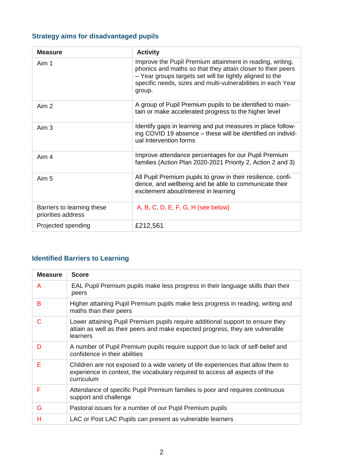## **Strategy aims for disadvantaged pupils**

| <b>Measure</b>                                   | <b>Activity</b>                                                                                                                                                                                                                                                |
|--------------------------------------------------|----------------------------------------------------------------------------------------------------------------------------------------------------------------------------------------------------------------------------------------------------------------|
| Aim 1                                            | Improve the Pupil Premium attainment in reading, writing,<br>phonics and maths so that they attain closer to their peers<br>- Year groups targets set will be tightly aligned to the<br>specific needs, sizes and multi-vulnerabilities in each Year<br>group. |
| Aim 2                                            | A group of Pupil Premium pupils to be identified to main-<br>tain or make accelerated progress to the higher level                                                                                                                                             |
| Aim <sub>3</sub>                                 | Identify gaps in learning and put measures in place follow-<br>ing COVID 19 absence - these will be identified on individ-<br>ual Intervention forms                                                                                                           |
| Aim 4                                            | Improve attendance percentages for our Pupil Premium<br>families (Action Plan 2020-2021 Priority 2, Action 2 and 3)                                                                                                                                            |
| Aim 5                                            | All Pupil Premium pupils to grow in their resilience, confi-<br>dence, and wellbeing and be able to communicate their<br>excitement about/interest in learning                                                                                                 |
| Barriers to learning these<br>priorities address | A, B, C, D, E, F, G, H (see below)                                                                                                                                                                                                                             |
| Projected spending                               | £212,561                                                                                                                                                                                                                                                       |

## **Identified Barriers to Learning**

| <b>Measure</b> | <b>Score</b>                                                                                                                                                                   |
|----------------|--------------------------------------------------------------------------------------------------------------------------------------------------------------------------------|
| A              | EAL Pupil Premium pupils make less progress in their language skills than their<br>peers                                                                                       |
| B              | Higher attaining Pupil Premium pupils make less progress in reading, writing and<br>maths than their peers                                                                     |
| C              | Lower attaining Pupil Premium pupils require additional support to ensure they<br>attain as well as their peers and make expected progress, they are vulnerable<br>learners    |
| D              | A number of Pupil Premium pupils require support due to lack of self-belief and<br>confidence in their abilities                                                               |
| E              | Children are not exposed to a wide variety of life experiences that allow them to<br>experience in context, the vocabulary required to access all aspects of the<br>curriculum |
| F              | Attendance of specific Pupil Premium families is poor and requires continuous<br>support and challenge                                                                         |
| G              | Pastoral issues for a number of our Pupil Premium pupils                                                                                                                       |
| н              | LAC or Post LAC Pupils can present as vulnerable learners                                                                                                                      |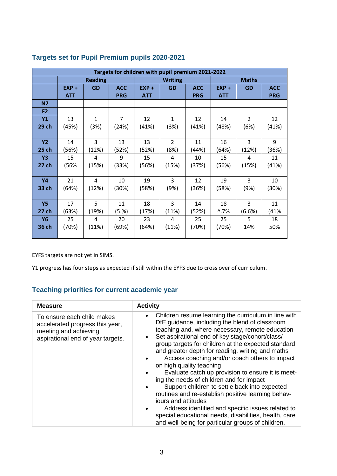| Targets for children with pupil premium 2021-2022 |            |                |                |                |                |            |                |               |            |
|---------------------------------------------------|------------|----------------|----------------|----------------|----------------|------------|----------------|---------------|------------|
|                                                   |            | <b>Reading</b> |                | <b>Writing</b> |                |            | <b>Maths</b>   |               |            |
|                                                   | $EXP +$    | <b>GD</b>      | <b>ACC</b>     | $EXP +$        | <b>GD</b>      | <b>ACC</b> | $EXP +$        | <b>GD</b>     | <b>ACC</b> |
|                                                   | <b>ATT</b> |                | <b>PRG</b>     | <b>ATT</b>     |                | <b>PRG</b> | <b>ATT</b>     |               | <b>PRG</b> |
| N <sub>2</sub>                                    |            |                |                |                |                |            |                |               |            |
| F <sub>2</sub>                                    |            |                |                |                |                |            |                |               |            |
| Y1                                                | 13         | $\mathbf{1}$   | $\overline{7}$ | 12             | $\mathbf{1}$   | 12         | 14             | $\mathcal{P}$ | 12         |
| 29 ch                                             | (45%)      | (3%)           | (24%)          | (41%)          | (3%)           | (41%)      | (48%)          | (6%)          | (41%)      |
|                                                   |            |                |                |                |                |            |                |               |            |
| <b>Y2</b>                                         | 14         | 3              | 13             | 13             | $\overline{2}$ | 11         | 16             | 3             | 9          |
| 25 ch                                             | (56%)      | (12%)          | (52%)          | (52%)          | (8%)           | (44%)      | (64%)          | (12%)         | (36%)      |
| <b>Y3</b>                                         | 15         | 4              | 9              | 15             | 4              | 10         | 15             | 4             | 11         |
| 27 ch                                             | (56%       | (15%)          | (33%)          | (56%)          | (15%)          | (37%)      | (56%)          | (15%)         | (41%)      |
|                                                   |            |                |                |                |                |            |                |               |            |
| <b>Y4</b>                                         | 21         | 4              | 10             | 19             | 3              | 12         | 19             | 3             | 10         |
| 33 ch                                             | (64%)      | (12%)          | (30%)          | (58%)          | (9%)           | (36%)      | (58%)          | (9%)          | (30%)      |
|                                                   |            |                |                |                |                |            |                |               |            |
| <b>Y5</b>                                         | 17         | 5              | 11             | 18             | 3              | 14         | 18             | 3             | 11         |
| 27 ch                                             | (63%)      | (19%)          | (5.%)          | (17%)          | (11%)          | (52%)      | $^{\circ}$ .7% | (6.6%)        | (41%       |
| Y6                                                | 25         | 4              | 20             | 23             | 4              | 25         | 25             | 5             | 18         |
| 36 ch                                             | (70%)      | (11%)          | (69%)          | (64%)          | (11%)          | (70%)      | (70%)          | 14%           | 50%        |
|                                                   |            |                |                |                |                |            |                |               |            |

#### **Targets set for Pupil Premium pupils 2020-2021**

EYFS targets are not yet in SIMS.

Y1 progress has four steps as expected if still within the EYFS due to cross over of curriculum.

## **Teaching priorities for current academic year**

| <b>Measure</b>                                                                                                              | <b>Activity</b>                                                                                                                                                                                                                                                                                                                                                                                                                                                                                                                                                                                                                                                                                                                                                                                                                  |
|-----------------------------------------------------------------------------------------------------------------------------|----------------------------------------------------------------------------------------------------------------------------------------------------------------------------------------------------------------------------------------------------------------------------------------------------------------------------------------------------------------------------------------------------------------------------------------------------------------------------------------------------------------------------------------------------------------------------------------------------------------------------------------------------------------------------------------------------------------------------------------------------------------------------------------------------------------------------------|
| To ensure each child makes<br>accelerated progress this year,<br>meeting and achieving<br>aspirational end of year targets. | Children resume learning the curriculum in line with<br>$\bullet$<br>DfE guidance, including the blend of classroom<br>teaching and, where necessary, remote education<br>Set aspirational end of key stage/cohort/class/<br>$\bullet$<br>group targets for children at the expected standard<br>and greater depth for reading, writing and maths<br>Access coaching and/or coach others to impact<br>on high quality teaching<br>Evaluate catch up provision to ensure it is meet-<br>ing the needs of children and for impact<br>Support children to settle back into expected<br>routines and re-establish positive learning behav-<br>jours and attitudes<br>Address identified and specific issues related to<br>special educational needs, disabilities, health, care<br>and well-being for particular groups of children. |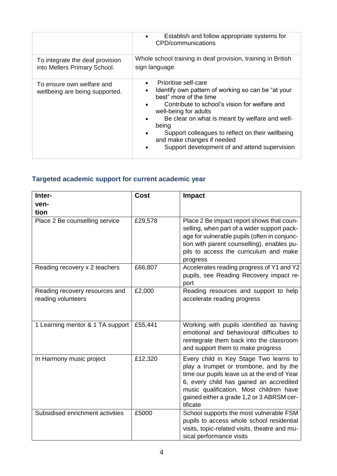|                                                                 | Establish and follow appropriate systems for<br>CPD/communications                                                                                                                                                                                                                                                                                                           |
|-----------------------------------------------------------------|------------------------------------------------------------------------------------------------------------------------------------------------------------------------------------------------------------------------------------------------------------------------------------------------------------------------------------------------------------------------------|
| To integrate the deaf provision<br>into Mellers Primary School. | Whole school training in deaf provision, training in British<br>sign language.                                                                                                                                                                                                                                                                                               |
| To ensure own welfare and<br>wellbeing are being supported.     | Prioritise self-care<br>Identify own pattern of working so can be "at your<br>best" more of the time<br>Contribute to school's vision for welfare and<br>well-being for adults<br>Be clear on what is meant by welfare and well-<br>being<br>Support colleagues to reflect on their wellbeing<br>and make changes if needed<br>Support development of and attend supervision |

# **Targeted academic support for current academic year**

| Inter-                                               | <b>Cost</b> | <b>Impact</b>                                                                                                                                                                                                                                                                  |
|------------------------------------------------------|-------------|--------------------------------------------------------------------------------------------------------------------------------------------------------------------------------------------------------------------------------------------------------------------------------|
| ven-                                                 |             |                                                                                                                                                                                                                                                                                |
| tion                                                 |             |                                                                                                                                                                                                                                                                                |
| Place 2 Be counselling service                       | £29,578     | Place 2 Be impact report shows that coun-<br>selling, when part of a wider support pack-<br>age for vulnerable pupils (often in conjunc-<br>tion with parent counselling), enables pu-<br>pils to access the curriculum and make<br>progress                                   |
| Reading recovery x 2 teachers                        | £66,807     | Accelerates reading progress of Y1 and Y2<br>pupils, see Reading Recovery impact re-<br>port                                                                                                                                                                                   |
| Reading recovery resources and<br>reading volunteers | £2,000      | Reading resources and support to help<br>accelerate reading progress                                                                                                                                                                                                           |
| 1 Learning mentor & 1 TA support                     | £55,441     | Working with pupils identified as having<br>emotional and behavioural difficulties to<br>reintegrate them back into the classroom<br>and support them to make progress                                                                                                         |
| In Harmony music project                             | £12,320     | Every child in Key Stage Two learns to<br>play a trumpet or trombone, and by the<br>time our pupils leave us at the end of Year<br>6, every child has gained an accredited<br>music qualification. Most children have<br>gained either a grade 1,2 or 3 ABRSM cer-<br>tificate |
| Subsidised enrichment activities                     | £5000       | School supports the most vulnerable FSM<br>pupils to access whole school residential<br>visits, topic-related visits, theatre and mu-<br>sical performance visits                                                                                                              |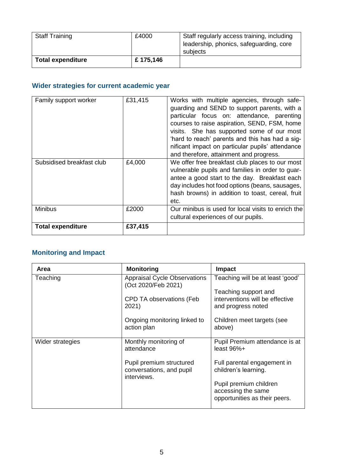| <b>Staff Training</b>    | £4000    | Staff regularly access training, including<br>leadership, phonics, safeguarding, core<br>subjects |
|--------------------------|----------|---------------------------------------------------------------------------------------------------|
| <b>Total expenditure</b> | £175,146 |                                                                                                   |

## **Wider strategies for current academic year**

| Family support worker<br>Subsidised breakfast club | £31,415<br>£4,000 | Works with multiple agencies, through safe-<br>guarding and SEND to support parents, with a<br>particular focus on: attendance, parenting<br>courses to raise aspiration, SEND, FSM, home<br>visits. She has supported some of our most<br>'hard to reach' parents and this has had a sig-<br>nificant impact on particular pupils' attendance<br>and therefore, attainment and progress.<br>We offer free breakfast club places to our most<br>vulnerable pupils and families in order to guar-<br>antee a good start to the day. Breakfast each<br>day includes hot food options (beans, sausages, |
|----------------------------------------------------|-------------------|------------------------------------------------------------------------------------------------------------------------------------------------------------------------------------------------------------------------------------------------------------------------------------------------------------------------------------------------------------------------------------------------------------------------------------------------------------------------------------------------------------------------------------------------------------------------------------------------------|
|                                                    |                   | hash browns) in addition to toast, cereal, fruit<br>etc.                                                                                                                                                                                                                                                                                                                                                                                                                                                                                                                                             |
| <b>Minibus</b>                                     | £2000             | Our minibus is used for local visits to enrich the<br>cultural experiences of our pupils.                                                                                                                                                                                                                                                                                                                                                                                                                                                                                                            |
| <b>Total expenditure</b>                           | £37,415           |                                                                                                                                                                                                                                                                                                                                                                                                                                                                                                                                                                                                      |

# **Monitoring and Impact**

| Area             | <b>Monitoring</b>                                                                               | <b>Impact</b>                                                                                                     |
|------------------|-------------------------------------------------------------------------------------------------|-------------------------------------------------------------------------------------------------------------------|
| Teaching         | <b>Appraisal Cycle Observations</b><br>(Oct 2020/Feb 2021)<br>CPD TA observations (Feb<br>2021) | Teaching will be at least 'good'<br>Teaching support and<br>interventions will be effective<br>and progress noted |
|                  | Ongoing monitoring linked to<br>action plan                                                     | Children meet targets (see<br>above)                                                                              |
| Wider strategies | Monthly monitoring of<br>attendance                                                             | Pupil Premium attendance is at<br>least $96\%+$                                                                   |
|                  | Pupil premium structured<br>conversations, and pupil<br>interviews.                             | Full parental engagement in<br>children's learning.                                                               |
|                  |                                                                                                 | Pupil premium children<br>accessing the same<br>opportunities as their peers.                                     |